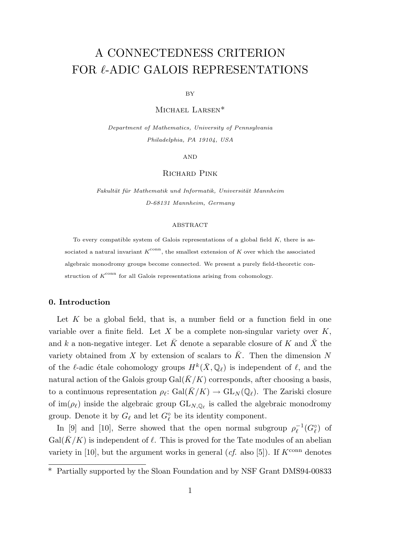# A CONNECTEDNESS CRITERION FOR  $\ell\text{-}\mathrm{ADIC}$  GALOIS REPRESENTATIONS

BY

Michael Larsen\*

Department of Mathematics, University of Pennsylvania Philadelphia, PA 19104, USA

AND

## Richard Pink

Fakultät für Mathematik und Informatik, Universität Mannheim D-68131 Mannheim, Germany

#### ABSTRACT

To every compatible system of Galois representations of a global field  $K$ , there is associated a natural invariant  $K^{\text{conn}}$ , the smallest extension of K over which the associated algebraic monodromy groups become connected. We present a purely field-theoretic construction of  $K^{\text{conn}}$  for all Galois representations arising from cohomology.

# 0. Introduction

Let  $K$  be a global field, that is, a number field or a function field in one variable over a finite field. Let X be a complete non-singular variety over  $K$ , and k a non-negative integer. Let  $\bar{K}$  denote a separable closure of K and  $\bar{X}$  the variety obtained from X by extension of scalars to  $\bar{K}$ . Then the dimension N of the  $\ell$ -adic étale cohomology groups  $H^k(\bar{X}, \mathbb{Q}_\ell)$  is independent of  $\ell$ , and the natural action of the Galois group Gal( $\overline{K}/K$ ) corresponds, after choosing a basis, to a continuous representation  $\rho_{\ell}: Gal(K/K) \to GL_N(\mathbb{Q}_{\ell}).$  The Zariski closure of  $\text{im}(\rho_\ell)$  inside the algebraic group  $\text{GL}_{N,\mathbb{Q}_\ell}$  is called the algebraic monodromy group. Denote it by  $G_{\ell}$  and let  $G_{\ell}^{\circ}$  be its identity component.

In [9] and [10], Serre showed that the open normal subgroup  $\rho_{\ell}^{-1}$  $_{\ell}^{-1}(G_{\ell}^{\circ})$  of  $Gal(\bar{K}/K)$  is independent of  $\ell$ . This is proved for the Tate modules of an abelian variety in [10], but the argument works in general (*cf.* also [5]). If  $K^{\text{conn}}$  denotes

<sup>\*</sup> Partially supported by the Sloan Foundation and by NSF Grant DMS94-00833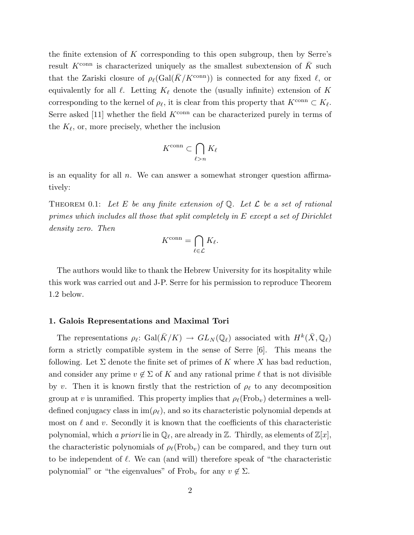the finite extension of K corresponding to this open subgroup, then by Serre's result  $K^{\text{conn}}$  is characterized uniquely as the smallest subextension of  $\bar{K}$  such that the Zariski closure of  $\rho_{\ell}(\text{Gal}(\bar{K}/K^{\text{conn}}))$  is connected for any fixed  $\ell$ , or equivalently for all  $\ell$ . Letting  $K_{\ell}$  denote the (usually infinite) extension of K corresponding to the kernel of  $\rho_{\ell}$ , it is clear from this property that  $K^{\text{conn}} \subset K_{\ell}$ . Serre asked [11] whether the field  $K^{\text{conn}}$  can be characterized purely in terms of the  $K_{\ell}$ , or, more precisely, whether the inclusion

$$
K^{\operatorname{conn}} \subset \bigcap_{\ell > n} K_{\ell}
$$

is an equality for all  $n$ . We can answer a somewhat stronger question affirmatively:

THEOREM 0.1: Let E be any finite extension of  $\mathbb Q$ . Let  $\mathcal L$  be a set of rational primes which includes all those that split completely in E except a set of Dirichlet density zero. Then

$$
K^{\operatorname{conn}} = \bigcap_{\ell \in \mathcal{L}} K_{\ell}.
$$

The authors would like to thank the Hebrew University for its hospitality while this work was carried out and J-P. Serre for his permission to reproduce Theorem 1.2 below.

# 1. Galois Representations and Maximal Tori

The representations  $\rho_{\ell}$ : Gal $(\bar{K}/K) \to GL_N(\mathbb{Q}_{\ell})$  associated with  $H^k(\bar{X}, \mathbb{Q}_{\ell})$ form a strictly compatible system in the sense of Serre [6]. This means the following. Let  $\Sigma$  denote the finite set of primes of K where X has bad reduction, and consider any prime  $v \notin \Sigma$  of K and any rational prime  $\ell$  that is not divisible by v. Then it is known firstly that the restriction of  $\rho_{\ell}$  to any decomposition group at v is unramified. This property implies that  $\rho_{\ell}(\text{Frob}_{v})$  determines a welldefined conjugacy class in  $\text{im}(\rho_{\ell})$ , and so its characteristic polynomial depends at most on  $\ell$  and v. Secondly it is known that the coefficients of this characteristic polynomial, which a priori lie in  $\mathbb{Q}_\ell$ , are already in Z. Thirdly, as elements of  $\mathbb{Z}[x]$ , the characteristic polynomials of  $\rho_{\ell}(\text{Frob}_{v})$  can be compared, and they turn out to be independent of  $\ell$ . We can (and will) therefore speak of "the characteristic polynomial" or "the eigenvalues" of Frob<sub>v</sub> for any  $v \notin \Sigma$ .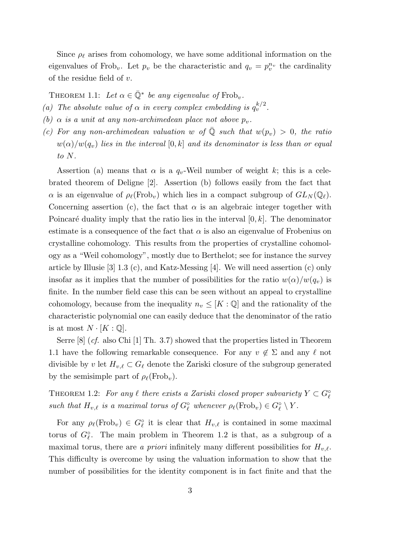Since  $\rho_{\ell}$  arises from cohomology, we have some additional information on the eigenvalues of Frob<sub>v</sub>. Let  $p_v$  be the characteristic and  $q_v = p_v^{n_v}$  the cardinality of the residue field of  $v$ .

THEOREM 1.1: Let  $\alpha \in \overline{\mathbb{Q}}^*$  be any eigenvalue of Frob<sub>v</sub>.

- (a) The absolute value of  $\alpha$  in every complex embedding is  $q_v^{k/2}$ .
- (b)  $\alpha$  is a unit at any non-archimedean place not above  $p_v$ .
- (c) For any non-archimedean valuation w of  $\overline{Q}$  such that  $w(p_v) > 0$ , the ratio  $w(\alpha)/w(q_v)$  lies in the interval  $[0, k]$  and its denominator is less than or equal to N.

Assertion (a) means that  $\alpha$  is a  $q_v$ -Weil number of weight k; this is a celebrated theorem of Deligne [2]. Assertion (b) follows easily from the fact that  $\alpha$  is an eigenvalue of  $\rho_{\ell}(\text{Frob}_{v})$  which lies in a compact subgroup of  $GL_N(\mathbb{Q}_{\ell})$ . Concerning assertion (c), the fact that  $\alpha$  is an algebraic integer together with Poincaré duality imply that the ratio lies in the interval  $[0, k]$ . The denominator estimate is a consequence of the fact that  $\alpha$  is also an eigenvalue of Frobenius on crystalline cohomology. This results from the properties of crystalline cohomology as a "Weil cohomology", mostly due to Berthelot; see for instance the survey article by Illusie [3] 1.3 (c), and Katz-Messing [4]. We will need assertion (c) only insofar as it implies that the number of possibilities for the ratio  $w(\alpha)/w(q_v)$  is finite. In the number field case this can be seen without an appeal to crystalline cohomology, because from the inequality  $n_v \leq [K:\mathbb{Q}]$  and the rationality of the characteristic polynomial one can easily deduce that the denominator of the ratio is at most  $N \cdot [K : \mathbb{Q}]$ .

Serre  $[8]$  (*cf.* also Chi  $[1]$  Th. 3.7) showed that the properties listed in Theorem 1.1 have the following remarkable consequence. For any  $v \notin \Sigma$  and any  $\ell$  not divisible by v let  $H_{v,\ell} \subset G_{\ell}$  denote the Zariski closure of the subgroup generated by the semisimple part of  $\rho_{\ell}(\text{Frob}_{v}).$ 

THEOREM 1.2: For any  $\ell$  there exists a Zariski closed proper subvariety  $Y \subset G_{\ell}^{\circ}$ such that  $H_{v,\ell}$  is a maximal torus of  $G_{\ell}^{\circ}$  whenever  $\rho_{\ell}(\text{Frob}_{v}) \in G_{\ell}^{\circ} \setminus Y$ .

For any  $\rho_\ell(\text{Frob}_v) \in G_\ell^\circ$  it is clear that  $H_{v,\ell}$  is contained in some maximal torus of  $G_{\ell}^{\circ}$ . The main problem in Theorem 1.2 is that, as a subgroup of a maximal torus, there are a priori infinitely many different possibilities for  $H_{v,\ell}$ . This difficulty is overcome by using the valuation information to show that the number of possibilities for the identity component is in fact finite and that the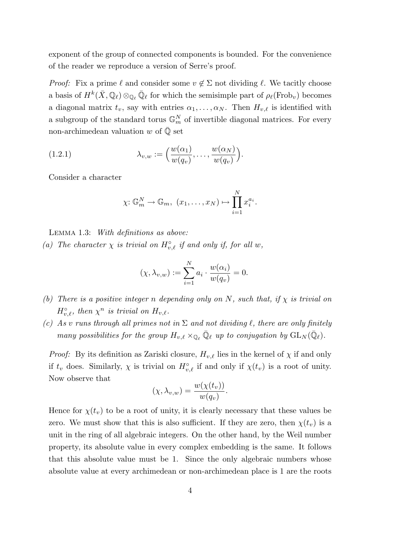exponent of the group of connected components is bounded. For the convenience of the reader we reproduce a version of Serre's proof.

*Proof:* Fix a prime  $\ell$  and consider some  $v \notin \Sigma$  not dividing  $\ell$ . We tacitly choose a basis of  $H^k(\bar{X}, \mathbb{Q}_\ell) \otimes_{\mathbb{Q}_\ell} \bar{\mathbb{Q}}_\ell$  for which the semisimple part of  $\rho_\ell(\text{Frob}_v)$  becomes a diagonal matrix  $t_v$ , say with entries  $\alpha_1, \ldots, \alpha_N$ . Then  $H_{v,\ell}$  is identified with a subgroup of the standard torus  $\mathbb{G}_m^N$  of invertible diagonal matrices. For every non-archimedean valuation  $w$  of  $\mathbb Q$  set

(1.2.1) 
$$
\lambda_{v,w} := \left(\frac{w(\alpha_1)}{w(q_v)}, \ldots, \frac{w(\alpha_N)}{w(q_v)}\right).
$$

Consider a character

$$
\chi: \mathbb{G}_m^N \to \mathbb{G}_m, (x_1, \ldots, x_N) \mapsto \prod_{i=1}^N x_i^{a_i}.
$$

Lemma 1.3: With definitions as above:

(a) The character  $\chi$  is trivial on  $H_{v,\ell}^{\circ}$  if and only if, for all w,

$$
(\chi, \lambda_{v,w}) := \sum_{i=1}^N a_i \cdot \frac{w(\alpha_i)}{w(q_v)} = 0.
$$

- (b) There is a positive integer n depending only on N, such that, if  $\chi$  is trivial on  $H_{v,\ell}^{\circ}$ , then  $\chi^{n}$  is trivial on  $H_{v,\ell}$ .
- (c) As v runs through all primes not in  $\Sigma$  and not dividing  $\ell$ , there are only finitely many possibilities for the group  $H_{v,\ell} \times_{\mathbb{Q}_{\ell}} \overline{\mathbb{Q}}_{\ell}$  up to conjugation by  $GL_N(\overline{\mathbb{Q}}_{\ell})$ .

*Proof:* By its definition as Zariski closure,  $H_{v,\ell}$  lies in the kernel of  $\chi$  if and only if  $t_v$  does. Similarly,  $\chi$  is trivial on  $H_{v,\ell}^{\circ}$  if and only if  $\chi(t_v)$  is a root of unity. Now observe that

$$
(\chi, \lambda_{v,w}) = \frac{w(\chi(t_v))}{w(q_v)}.
$$

Hence for  $\chi(t_v)$  to be a root of unity, it is clearly necessary that these values be zero. We must show that this is also sufficient. If they are zero, then  $\chi(t_v)$  is a unit in the ring of all algebraic integers. On the other hand, by the Weil number property, its absolute value in every complex embedding is the same. It follows that this absolute value must be 1. Since the only algebraic numbers whose absolute value at every archimedean or non-archimedean place is 1 are the roots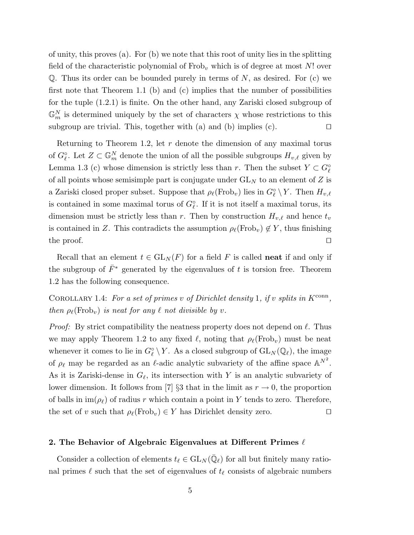of unity, this proves (a). For (b) we note that this root of unity lies in the splitting field of the characteristic polynomial of  $Frob_v$  which is of degree at most N! over  $\mathbb{Q}$ . Thus its order can be bounded purely in terms of N, as desired. For (c) we first note that Theorem 1.1 (b) and (c) implies that the number of possibilities for the tuple (1.2.1) is finite. On the other hand, any Zariski closed subgroup of  $\mathbb{G}_m^N$  is determined uniquely by the set of characters  $\chi$  whose restrictions to this subgroup are trivial. This, together with (a) and (b) implies (c).  $\Box$ 

Returning to Theorem 1.2, let r denote the dimension of any maximal torus of  $G_{\ell}^{\circ}$ . Let  $Z \subset \mathbb{G}_m^N$  denote the union of all the possible subgroups  $H_{v,\ell}$  given by Lemma 1.3 (c) whose dimension is strictly less than r. Then the subset  $Y \subset G^{\circ}_{\ell}$ of all points whose semisimple part is conjugate under  $GL_N$  to an element of Z is a Zariski closed proper subset. Suppose that  $\rho_\ell(\text{Frob}_v)$  lies in  $G_\ell^{\circ} \setminus Y$ . Then  $H_{v,\ell}$ is contained in some maximal torus of  $G_{\ell}^{\circ}$ . If it is not itself a maximal torus, its dimension must be strictly less than r. Then by construction  $H_{v,\ell}$  and hence  $t_v$ is contained in Z. This contradicts the assumption  $\rho_{\ell}(\text{Frob}_{v}) \notin Y$ , thus finishing the proof.  $\Box$ 

Recall that an element  $t \in GL<sub>N</sub>(F)$  for a field F is called **neat** if and only if the subgroup of  $\bar{F}^*$  generated by the eigenvalues of t is torsion free. Theorem 1.2 has the following consequence.

COROLLARY 1.4: For a set of primes v of Dirichlet density 1, if v splits in  $K^{\text{conn}}$ , then  $\rho_{\ell}(\text{Frob}_{v})$  is neat for any  $\ell$  not divisible by v.

*Proof:* By strict compatibility the neatness property does not depend on  $\ell$ . Thus we may apply Theorem 1.2 to any fixed  $\ell$ , noting that  $\rho_{\ell}(\text{Frob}_{v})$  must be neat whenever it comes to lie in  $G_{\ell}^{\circ} \setminus Y$ . As a closed subgroup of  $GL_N(\mathbb{Q}_{\ell})$ , the image of  $\rho_{\ell}$  may be regarded as an  $\ell$ -adic analytic subvariety of the affine space  $\mathbb{A}^{N^2}$ . As it is Zariski-dense in  $G_{\ell}$ , its intersection with Y is an analytic subvariety of lower dimension. It follows from [7] §3 that in the limit as  $r \to 0$ , the proportion of balls in  $\text{im}(\rho_\ell)$  of radius r which contain a point in Y tends to zero. Therefore, the set of v such that  $\rho_{\ell}(\text{Frob}_{v}) \in Y$  has Dirichlet density zero.  $\square$ 

# 2. The Behavior of Algebraic Eigenvalues at Different Primes  $\ell$

Consider a collection of elements  $t_\ell \in GL_N(\bar{\mathbb{Q}}_\ell)$  for all but finitely many rational primes  $\ell$  such that the set of eigenvalues of  $t_\ell$  consists of algebraic numbers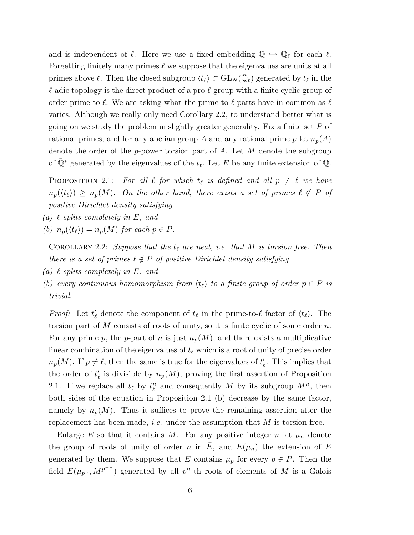and is independent of  $\ell$ . Here we use a fixed embedding  $\overline{\mathbb{Q}} \hookrightarrow \overline{\mathbb{Q}}_{\ell}$  for each  $\ell$ . Forgetting finitely many primes  $\ell$  we suppose that the eigenvalues are units at all primes above  $\ell$ . Then the closed subgroup  $\langle t_\ell \rangle \subset \mathrm{GL}_N(\bar{\mathbb{Q}}_\ell)$  generated by  $t_\ell$  in the  $\ell$ -adic topology is the direct product of a pro- $\ell$ -group with a finite cyclic group of order prime to  $\ell$ . We are asking what the prime-to- $\ell$  parts have in common as  $\ell$ varies. Although we really only need Corollary 2.2, to understand better what is going on we study the problem in slightly greater generality. Fix a finite set  $P$  of rational primes, and for any abelian group A and any rational prime p let  $n_p(A)$ denote the order of the p-power torsion part of  $A$ . Let  $M$  denote the subgroup of  $\overline{\mathbb{Q}}^*$  generated by the eigenvalues of the  $t_\ell$ . Let E be any finite extension of  $\mathbb{Q}$ .

PROPOSITION 2.1: For all  $\ell$  for which  $t_{\ell}$  is defined and all  $p \neq \ell$  we have  $n_p(\langle t_\ell \rangle) \geq n_p(M)$ . On the other hand, there exists a set of primes  $\ell \notin P$  of positive Dirichlet density satisfying

- (a)  $\ell$  splits completely in E, and
- (b)  $n_p(\langle t_\ell \rangle) = n_p(M)$  for each  $p \in P$ .

COROLLARY 2.2: Suppose that the  $t_{\ell}$  are neat, i.e. that M is torsion free. Then there is a set of primes  $\ell \notin P$  of positive Dirichlet density satisfying

- (a)  $\ell$  splits completely in E, and
- (b) every continuous homomorphism from  $\langle t_{\ell} \rangle$  to a finite group of order  $p \in P$  is trivial.

*Proof:* Let  $t'_\ell$  denote the component of  $t_\ell$  in the prime-to- $\ell$  factor of  $\langle t_\ell \rangle$ . The torsion part of M consists of roots of unity, so it is finite cyclic of some order  $n$ . For any prime p, the p-part of n is just  $n_p(M)$ , and there exists a multiplicative linear combination of the eigenvalues of  $t_\ell$  which is a root of unity of precise order  $n_p(M)$ . If  $p \neq \ell$ , then the same is true for the eigenvalues of  $t'_\ell$ . This implies that the order of  $t'_{\ell}$  is divisible by  $n_p(M)$ , proving the first assertion of Proposition 2.1. If we replace all  $t_\ell$  by  $t^n_\ell$  and consequently M by its subgroup  $M^n$ , then both sides of the equation in Proposition 2.1 (b) decrease by the same factor, namely by  $n_p(M)$ . Thus it suffices to prove the remaining assertion after the replacement has been made, *i.e.* under the assumption that  $M$  is torsion free.

Enlarge E so that it contains M. For any positive integer n let  $\mu_n$  denote the group of roots of unity of order n in  $\overline{E}$ , and  $E(\mu_n)$  the extension of E generated by them. We suppose that E contains  $\mu_p$  for every  $p \in P$ . Then the field  $E(\mu_{p^n}, M^{p^{-n}})$  generated by all  $p^n$ -th roots of elements of M is a Galois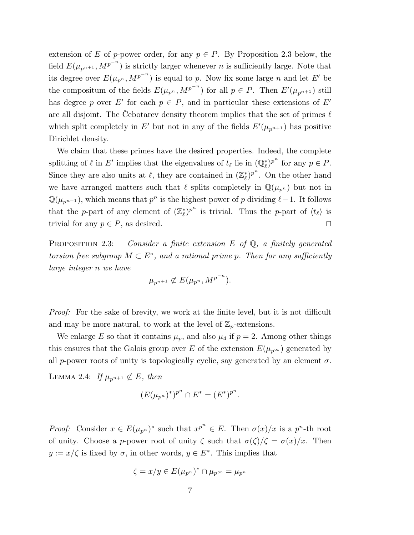extension of E of p-power order, for any  $p \in P$ . By Proposition 2.3 below, the field  $E(\mu_{p^{n+1}}, M^{p^{-n}})$  is strictly larger whenever n is sufficiently large. Note that its degree over  $E(\mu_{p^n}, M^{p^{-n}})$  is equal to p. Now fix some large n and let E' be the compositum of the fields  $E(\mu_{p^n}, M^{p^{-n}})$  for all  $p \in P$ . Then  $E'(\mu_{p^{n+1}})$  still has degree p over E' for each  $p \in P$ , and in particular these extensions of E' are all disjoint. The Cebotarev density theorem implies that the set of primes  $\ell$ which split completely in E' but not in any of the fields  $E'(\mu_{p^{n+1}})$  has positive Dirichlet density.

We claim that these primes have the desired properties. Indeed, the complete splitting of  $\ell$  in E' implies that the eigenvalues of  $t_{\ell}$  lie in  $(\mathbb{Q}_{\ell}^*)^{p^n}$  for any  $p \in P$ . Since they are also units at  $\ell$ , they are contained in  $(\mathbb{Z}_{\ell}^*)^{p^n}$ . On the other hand we have arranged matters such that  $\ell$  splits completely in  $\mathbb{Q}(\mu_{p^n})$  but not in  $\mathbb{Q}(\mu_{p^{n+1}})$ , which means that  $p^n$  is the highest power of p dividing  $\ell-1$ . It follows that the p-part of any element of  $(\mathbb{Z}_{\ell}^*)^{p^n}$  is trivial. Thus the p-part of  $\langle t_{\ell} \rangle$  is trivial for any  $p \in P$ , as desired.

PROPOSITION 2.3: Consider a finite extension  $E$  of  $\mathbb{Q}$ , a finitely generated torsion free subgroup  $M \subset E^*$ , and a rational prime p. Then for any sufficiently large integer n we have

$$
\mu_{p^{n+1}} \not\subset E(\mu_{p^n}, M^{p^{-n}}).
$$

Proof: For the sake of brevity, we work at the finite level, but it is not difficult and may be more natural, to work at the level of  $\mathbb{Z}_p$ -extensions.

We enlarge E so that it contains  $\mu_p$ , and also  $\mu_4$  if  $p = 2$ . Among other things this ensures that the Galois group over E of the extension  $E(\mu_{p^{\infty}})$  generated by all p-power roots of unity is topologically cyclic, say generated by an element  $\sigma$ .

LEMMA 2.4: If  $\mu_{p^{n+1}} \not\subset E$ , then

$$
(E(\mu_{p^n})^*)^{p^n} \cap E^* = (E^*)^{p^n}.
$$

*Proof:* Consider  $x \in E(\mu_{p^n})^*$  such that  $x^{p^n} \in E$ . Then  $\sigma(x)/x$  is a  $p^n$ -th root of unity. Choose a p-power root of unity  $\zeta$  such that  $\sigma(\zeta)/\zeta = \sigma(x)/x$ . Then  $y := x/\zeta$  is fixed by  $\sigma$ , in other words,  $y \in E^*$ . This implies that

$$
\zeta = x/y \in E(\mu_{p^n})^* \cap \mu_{p^\infty} = \mu_{p^n}
$$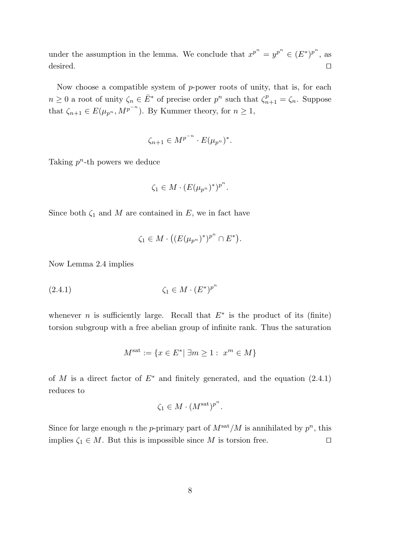under the assumption in the lemma. We conclude that  $x^{p^n} = y^{p^n} \in (E^*)^{p^n}$ , as desired.  $\Box$ 

Now choose a compatible system of p-power roots of unity, that is, for each  $n \geq 0$  a root of unity  $\zeta_n \in \overline{E}^*$  of precise order  $p^n$  such that  $\zeta_{n+1}^p = \zeta_n$ . Suppose that  $\zeta_{n+1} \in E(\mu_{p^n}, M^{p^{-n}})$ . By Kummer theory, for  $n \geq 1$ ,

$$
\zeta_{n+1} \in M^{p^{-n}} \cdot E(\mu_{p^n})^*.
$$

Taking  $p^n$ -th powers we deduce

$$
\zeta_1 \in M \cdot (E(\mu_{p^n})^*)^{p^n}.
$$

Since both  $\zeta_1$  and M are contained in E, we in fact have

$$
\zeta_1 \in M \cdot ((E(\mu_{p^n})^*)^{p^n} \cap E^*).
$$

Now Lemma 2.4 implies

$$
(2.4.1) \qquad \qquad \zeta_1 \in M \cdot (E^*)^{p^n}
$$

whenever *n* is sufficiently large. Recall that  $E^*$  is the product of its (finite) torsion subgroup with a free abelian group of infinite rank. Thus the saturation

$$
M^{\text{sat}} := \{ x \in E^* | \ \exists m \ge 1 : \ x^m \in M \}
$$

of M is a direct factor of  $E^*$  and finitely generated, and the equation  $(2.4.1)$ reduces to

$$
\zeta_1 \in M \cdot (M^{\text{sat}})^{p^n}.
$$

Since for large enough n the p-primary part of  $M^{\text{sat}}/M$  is annihilated by  $p^n$ , this implies  $\zeta_1 \in M$ . But this is impossible since M is torsion free.  $\square$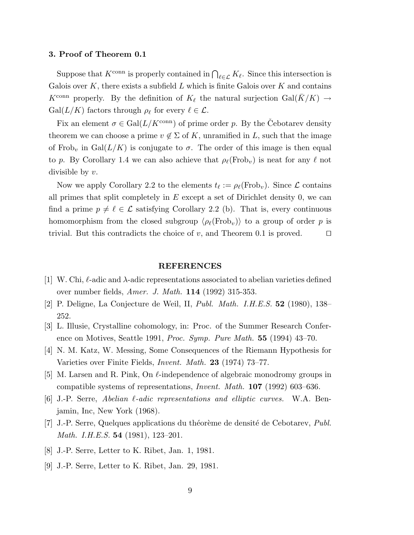## 3. Proof of Theorem 0.1

Suppose that  $K^{\text{conn}}$  is properly contained in  $\bigcap_{\ell \in \mathcal{L}} K_{\ell}$ . Since this intersection is Galois over  $K$ , there exists a subfield  $L$  which is finite Galois over  $K$  and contains  $K^{\text{conn}}$  properly. By the definition of  $K_{\ell}$  the natural surjection Gal( $\bar{K}/K$ )  $\rightarrow$  $Gal(L/K)$  factors through  $\rho_{\ell}$  for every  $\ell \in \mathcal{L}$ .

Fix an element  $\sigma \in \text{Gal}(L/K^{\text{conn}})$  of prime order p. By the Cebotarev density theorem we can choose a prime  $v \notin \Sigma$  of K, unramified in L, such that the image of Frob<sub>v</sub> in Gal $(L/K)$  is conjugate to  $\sigma$ . The order of this image is then equal to p. By Corollary 1.4 we can also achieve that  $\rho_{\ell}(\text{Frob}_{v})$  is neat for any  $\ell$  not divisible by  $v$ .

Now we apply Corollary 2.2 to the elements  $t_\ell := \rho_\ell(\text{Frob}_v)$ . Since  $\mathcal L$  contains all primes that split completely in  $E$  except a set of Dirichlet density 0, we can find a prime  $p \neq \ell \in \mathcal{L}$  satisfying Corollary 2.2 (b). That is, every continuous homomorphism from the closed subgroup  $\langle \rho_\ell(\text{Frob}_v) \rangle$  to a group of order p is trivial. But this contradicts the choice of v, and Theorem 0.1 is proved.  $\square$ 

#### REFERENCES

- [1] W. Chi,  $\ell$ -adic and  $\lambda$ -adic representations associated to abelian varieties defined over number fields, Amer. J. Math. 114 (1992) 315-353.
- [2] P. Deligne, La Conjecture de Weil, II, Publ. Math. I.H.E.S. 52 (1980), 138– 252.
- [3] L. Illusie, Crystalline cohomology, in: Proc. of the Summer Research Conference on Motives, Seattle 1991, Proc. Symp. Pure Math. 55 (1994) 43–70.
- [4] N. M. Katz, W. Messing, Some Consequences of the Riemann Hypothesis for Varieties over Finite Fields, Invent. Math. 23 (1974) 73–77.
- [5] M. Larsen and R. Pink, On  $\ell$ -independence of algebraic monodromy groups in compatible systems of representations, Invent. Math. 107 (1992) 603–636.
- [6] J.-P. Serre, Abelian  $\ell$ -adic representations and elliptic curves. W.A. Benjamin, Inc, New York (1968).
- [7] J.-P. Serre, Quelques applications du théorème de densité de Cebotarev,  $Publ$ . Math. I.H.E.S. 54 (1981), 123–201.
- [8] J.-P. Serre, Letter to K. Ribet, Jan. 1, 1981.
- [9] J.-P. Serre, Letter to K. Ribet, Jan. 29, 1981.